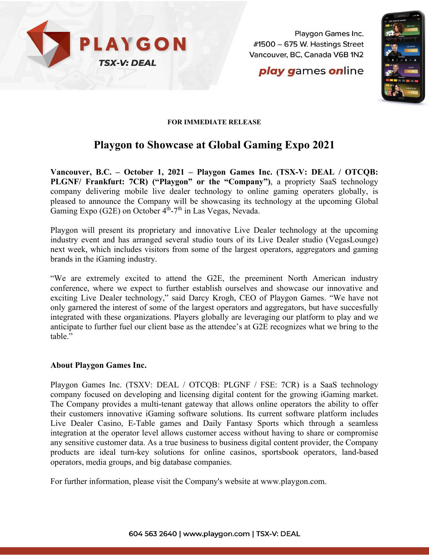

Playgon Games Inc.  $\#$ 1500 – 675 W. Hastings Street Vancouver, BC, Canada V6B 1N2

**play games online** 



## **FOR IMMEDIATE RELEASE**

## **Playgon to Showcase at Global Gaming Expo 2021**

**Vancouver, B.C. – October 1, 2021 – Playgon Games Inc. (TSX-V: DEAL / OTCQB: PLGNF/ Frankfurt: 7CR) ("Playgon" or the "Company")**, a propriety SaaS technology company delivering mobile live dealer technology to online gaming operaters globally, is pleased to announce the Company will be showcasing its technology at the upcoming Global Gaming Expo (G2E) on October 4<sup>th</sup>-7<sup>th</sup> in Las Vegas, Nevada.

Playgon will present its proprietary and innovative Live Dealer technology at the upcoming industry event and has arranged several studio tours of its Live Dealer studio (VegasLounge) next week, which includes visitors from some of the largest operators, aggregators and gaming brands in the iGaming industry.

"We are extremely excited to attend the G2E, the preeminent North American industry conference, where we expect to further establish ourselves and showcase our innovative and exciting Live Dealer technology," said Darcy Krogh, CEO of Playgon Games. "We have not only garnered the interest of some of the largest operators and aggregators, but have succesfully integrated with these organizations. Players globally are leveraging our platform to play and we anticipate to further fuel our client base as the attendee's at G2E recognizes what we bring to the table."

## **About Playgon Games Inc.**

Playgon Games Inc. (TSXV: DEAL / OTCQB: PLGNF / FSE: 7CR) is a SaaS technology company focused on developing and licensing digital content for the growing iGaming market. The Company provides a multi-tenant gateway that allows online operators the ability to offer their customers innovative iGaming software solutions. Its current software platform includes Live Dealer Casino, E-Table games and Daily Fantasy Sports which through a seamless integration at the operator level allows customer access without having to share or compromise any sensitive customer data. As a true business to business digital content provider, the Company products are ideal turn-key solutions for online casinos, sportsbook operators, land-based operators, media groups, and big database companies.

For further information, please visit the Company's website at [www.playgon.com.](http://www.playgon.com/)